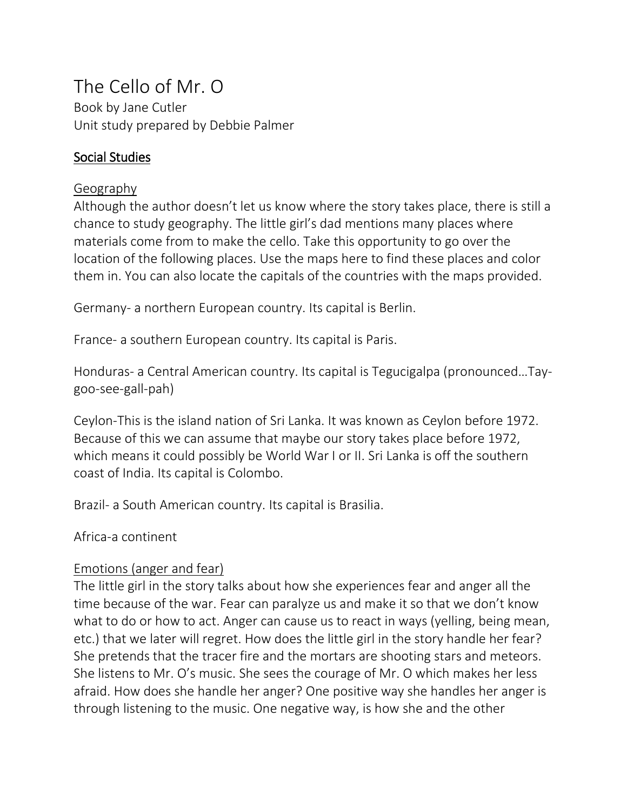# The Cello of Mr. O

Book by Jane Cutler Unit study prepared by Debbie Palmer

# Social Studies

# Geography

Although the author doesn't let us know where the story takes place, there is still a chance to study geography. The little girl's dad mentions many places where materials come from to make the cello. Take this opportunity to go over the location of the following places. Use the maps here to find these places and color them in. You can also locate the capitals of the countries with the maps provided.

Germany- a northern European country. Its capital is Berlin.

France- a southern European country. Its capital is Paris.

Honduras- a Central American country. Its capital is Tegucigalpa (pronounced…Taygoo-see-gall-pah)

Ceylon-This is the island nation of Sri Lanka. It was known as Ceylon before 1972. Because of this we can assume that maybe our story takes place before 1972, which means it could possibly be World War I or II. Sri Lanka is off the southern coast of India. Its capital is Colombo.

Brazil- a South American country. Its capital is Brasilia.

Africa-a continent

# Emotions (anger and fear)

The little girl in the story talks about how she experiences fear and anger all the time because of the war. Fear can paralyze us and make it so that we don't know what to do or how to act. Anger can cause us to react in ways (yelling, being mean, etc.) that we later will regret. How does the little girl in the story handle her fear? She pretends that the tracer fire and the mortars are shooting stars and meteors. She listens to Mr. O's music. She sees the courage of Mr. O which makes her less afraid. How does she handle her anger? One positive way she handles her anger is through listening to the music. One negative way, is how she and the other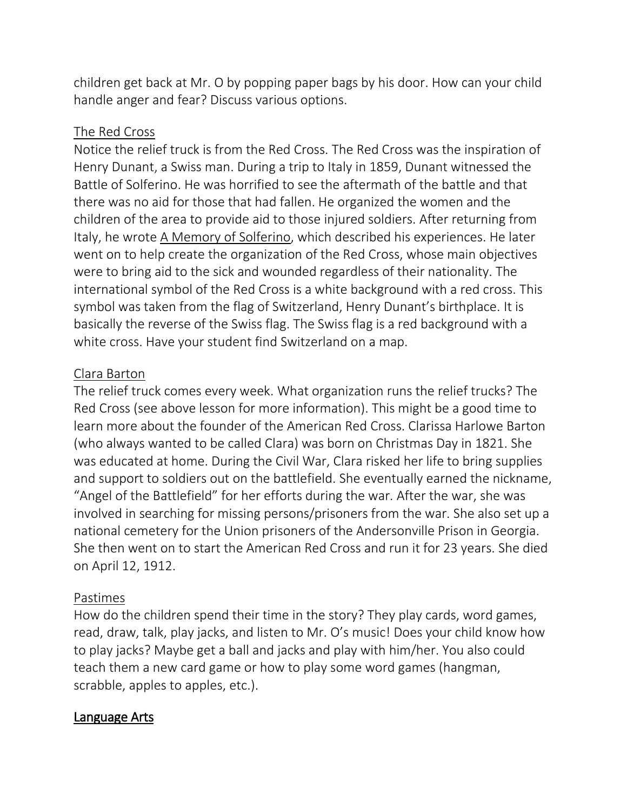children get back at Mr. O by popping paper bags by his door. How can your child handle anger and fear? Discuss various options.

#### The Red Cross

Notice the relief truck is from the Red Cross. The Red Cross was the inspiration of Henry Dunant, a Swiss man. During a trip to Italy in 1859, Dunant witnessed the Battle of Solferino. He was horrified to see the aftermath of the battle and that there was no aid for those that had fallen. He organized the women and the children of the area to provide aid to those injured soldiers. After returning from Italy, he wrote A Memory of Solferino, which described his experiences. He later went on to help create the organization of the Red Cross, whose main objectives were to bring aid to the sick and wounded regardless of their nationality. The international symbol of the Red Cross is a white background with a red cross. This symbol was taken from the flag of Switzerland, Henry Dunant's birthplace. It is basically the reverse of the Swiss flag. The Swiss flag is a red background with a white cross. Have your student find Switzerland on a map.

#### Clara Barton

The relief truck comes every week. What organization runs the relief trucks? The Red Cross (see above lesson for more information). This might be a good time to learn more about the founder of the American Red Cross. Clarissa Harlowe Barton (who always wanted to be called Clara) was born on Christmas Day in 1821. She was educated at home. During the Civil War, Clara risked her life to bring supplies and support to soldiers out on the battlefield. She eventually earned the nickname, "Angel of the Battlefield" for her efforts during the war. After the war, she was involved in searching for missing persons/prisoners from the war. She also set up a national cemetery for the Union prisoners of the Andersonville Prison in Georgia. She then went on to start the American Red Cross and run it for 23 years. She died on April 12, 1912.

#### Pastimes

How do the children spend their time in the story? They play cards, word games, read, draw, talk, play jacks, and listen to Mr. O's music! Does your child know how to play jacks? Maybe get a ball and jacks and play with him/her. You also could teach them a new card game or how to play some word games (hangman, scrabble, apples to apples, etc.).

#### Language Arts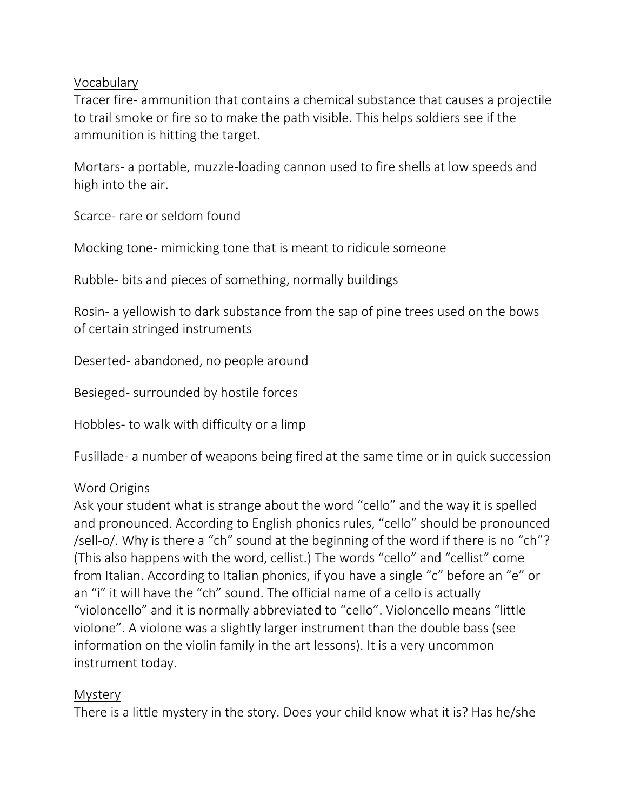## Vocabulary

Tracer fire- ammunition that contains a chemical substance that causes a projectile to trail smoke or fire so to make the path visible. This helps soldiers see if the ammunition is hitting the target.

Mortars- a portable, muzzle-loading cannon used to fire shells at low speeds and high into the air.

Scarce- rare or seldom found

Mocking tone- mimicking tone that is meant to ridicule someone

Rubble- bits and pieces of something, normally buildings

Rosin- a yellowish to dark substance from the sap of pine trees used on the bows of certain stringed instruments

Deserted- abandoned, no people around

Besieged- surrounded by hostile forces

Hobbles- to walk with difficulty or a limp

Fusillade- a number of weapons being fired at the same time or in quick succession

#### Word Origins

Ask your student what is strange about the word "cello" and the way it is spelled and pronounced. According to English phonics rules, "cello" should be pronounced /sell-o/. Why is there a "ch" sound at the beginning of the word if there is no "ch"? (This also happens with the word, cellist.) The words "cello" and "cellist" come from Italian. According to Italian phonics, if you have a single "c" before an "e" or an "i" it will have the "ch" sound. The official name of a cello is actually "violoncello" and it is normally abbreviated to "cello". Violoncello means "little violone". A violone was a slightly larger instrument than the double bass (see information on the violin family in the art lessons). It is a very uncommon instrument today.

#### **Mystery**

There is a little mystery in the story. Does your child know what it is? Has he/she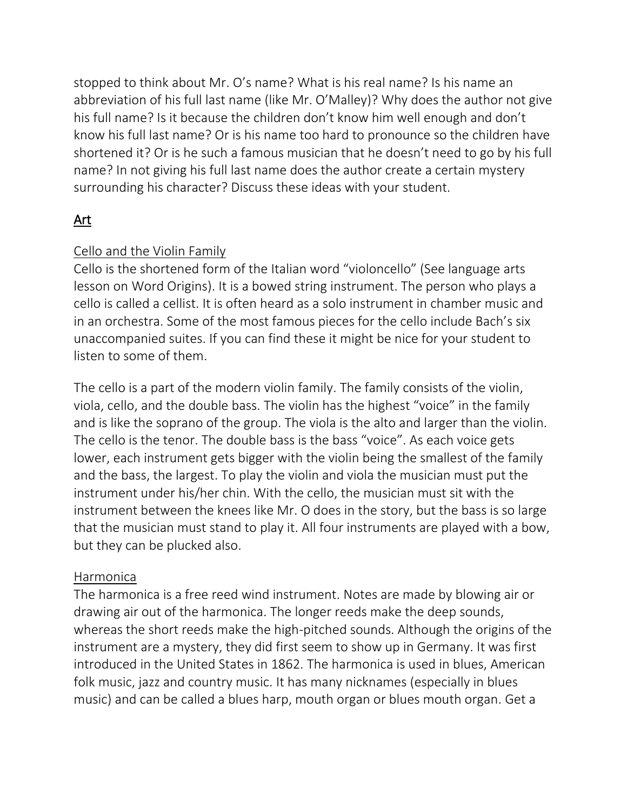stopped to think about Mr. O's name? What is his real name? Is his name an abbreviation of his full last name (like Mr. O'Malley)? Why does the author not give his full name? Is it because the children don't know him well enough and don't know his full last name? Or is his name too hard to pronounce so the children have shortened it? Or is he such a famous musician that he doesn't need to go by his full name? In not giving his full last name does the author create a certain mystery surrounding his character? Discuss these ideas with your student.

# Art

# Cello and the Violin Family

Cello is the shortened form of the Italian word "violoncello" (See language arts lesson on Word Origins). It is a bowed string instrument. The person who plays a cello is called a cellist. It is often heard as a solo instrument in chamber music and in an orchestra. Some of the most famous pieces for the cello include Bach's six unaccompanied suites. If you can find these it might be nice for your student to listen to some of them.

The cello is a part of the modern violin family. The family consists of the violin, viola, cello, and the double bass. The violin has the highest "voice" in the family and is like the soprano of the group. The viola is the alto and larger than the violin. The cello is the tenor. The double bass is the bass "voice". As each voice gets lower, each instrument gets bigger with the violin being the smallest of the family and the bass, the largest. To play the violin and viola the musician must put the instrument under his/her chin. With the cello, the musician must sit with the instrument between the knees like Mr. O does in the story, but the bass is so large that the musician must stand to play it. All four instruments are played with a bow, but they can be plucked also.

#### Harmonica

The harmonica is a free reed wind instrument. Notes are made by blowing air or drawing air out of the harmonica. The longer reeds make the deep sounds, whereas the short reeds make the high-pitched sounds. Although the origins of the instrument are a mystery, they did first seem to show up in Germany. It was first introduced in the United States in 1862. The harmonica is used in blues, American folk music, jazz and country music. It has many nicknames (especially in blues music) and can be called a blues harp, mouth organ or blues mouth organ. Get a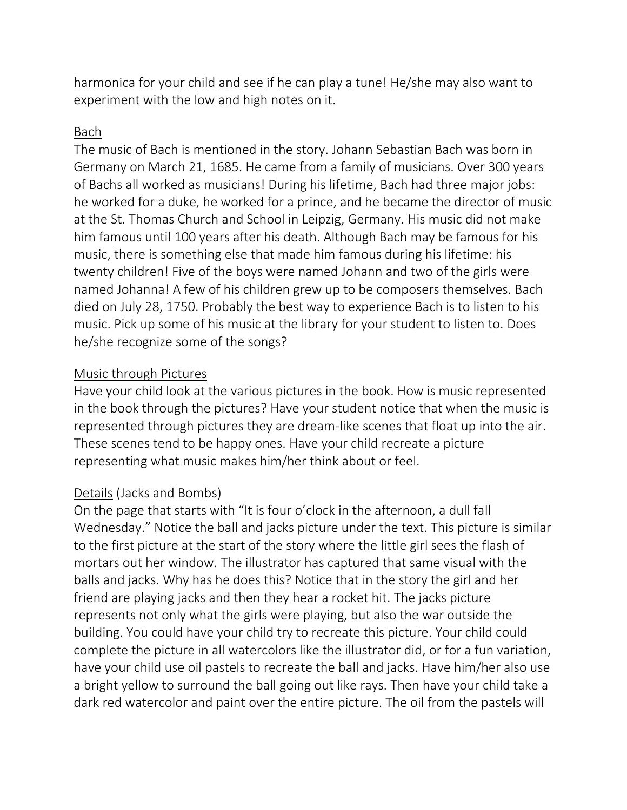harmonica for your child and see if he can play a tune! He/she may also want to experiment with the low and high notes on it.

## Bach

The music of Bach is mentioned in the story. Johann Sebastian Bach was born in Germany on March 21, 1685. He came from a family of musicians. Over 300 years of Bachs all worked as musicians! During his lifetime, Bach had three major jobs: he worked for a duke, he worked for a prince, and he became the director of music at the St. Thomas Church and School in Leipzig, Germany. His music did not make him famous until 100 years after his death. Although Bach may be famous for his music, there is something else that made him famous during his lifetime: his twenty children! Five of the boys were named Johann and two of the girls were named Johanna! A few of his children grew up to be composers themselves. Bach died on July 28, 1750. Probably the best way to experience Bach is to listen to his music. Pick up some of his music at the library for your student to listen to. Does he/she recognize some of the songs?

# Music through Pictures

Have your child look at the various pictures in the book. How is music represented in the book through the pictures? Have your student notice that when the music is represented through pictures they are dream-like scenes that float up into the air. These scenes tend to be happy ones. Have your child recreate a picture representing what music makes him/her think about or feel.

#### Details (Jacks and Bombs)

On the page that starts with "It is four o'clock in the afternoon, a dull fall Wednesday." Notice the ball and jacks picture under the text. This picture is similar to the first picture at the start of the story where the little girl sees the flash of mortars out her window. The illustrator has captured that same visual with the balls and jacks. Why has he does this? Notice that in the story the girl and her friend are playing jacks and then they hear a rocket hit. The jacks picture represents not only what the girls were playing, but also the war outside the building. You could have your child try to recreate this picture. Your child could complete the picture in all watercolors like the illustrator did, or for a fun variation, have your child use oil pastels to recreate the ball and jacks. Have him/her also use a bright yellow to surround the ball going out like rays. Then have your child take a dark red watercolor and paint over the entire picture. The oil from the pastels will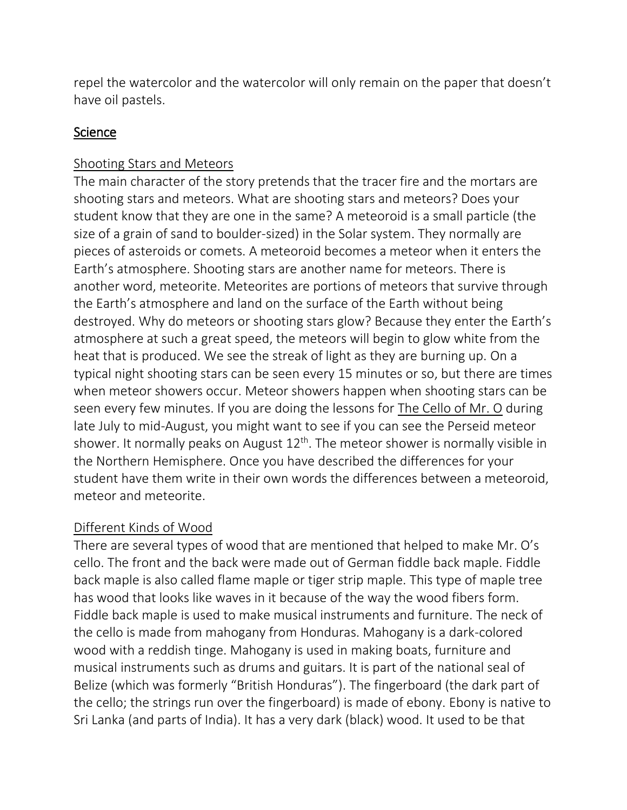repel the watercolor and the watercolor will only remain on the paper that doesn't have oil pastels.

# **Science**

# Shooting Stars and Meteors

The main character of the story pretends that the tracer fire and the mortars are shooting stars and meteors. What are shooting stars and meteors? Does your student know that they are one in the same? A meteoroid is a small particle (the size of a grain of sand to boulder-sized) in the Solar system. They normally are pieces of asteroids or comets. A meteoroid becomes a meteor when it enters the Earth's atmosphere. Shooting stars are another name for meteors. There is another word, meteorite. Meteorites are portions of meteors that survive through the Earth's atmosphere and land on the surface of the Earth without being destroyed. Why do meteors or shooting stars glow? Because they enter the Earth's atmosphere at such a great speed, the meteors will begin to glow white from the heat that is produced. We see the streak of light as they are burning up. On a typical night shooting stars can be seen every 15 minutes or so, but there are times when meteor showers occur. Meteor showers happen when shooting stars can be seen every few minutes. If you are doing the lessons for The Cello of Mr. O during late July to mid-August, you might want to see if you can see the Perseid meteor shower. It normally peaks on August 12<sup>th</sup>. The meteor shower is normally visible in the Northern Hemisphere. Once you have described the differences for your student have them write in their own words the differences between a meteoroid, meteor and meteorite.

# Different Kinds of Wood

There are several types of wood that are mentioned that helped to make Mr. O's cello. The front and the back were made out of German fiddle back maple. Fiddle back maple is also called flame maple or tiger strip maple. This type of maple tree has wood that looks like waves in it because of the way the wood fibers form. Fiddle back maple is used to make musical instruments and furniture. The neck of the cello is made from mahogany from Honduras. Mahogany is a dark-colored wood with a reddish tinge. Mahogany is used in making boats, furniture and musical instruments such as drums and guitars. It is part of the national seal of Belize (which was formerly "British Honduras"). The fingerboard (the dark part of the cello; the strings run over the fingerboard) is made of ebony. Ebony is native to Sri Lanka (and parts of India). It has a very dark (black) wood. It used to be that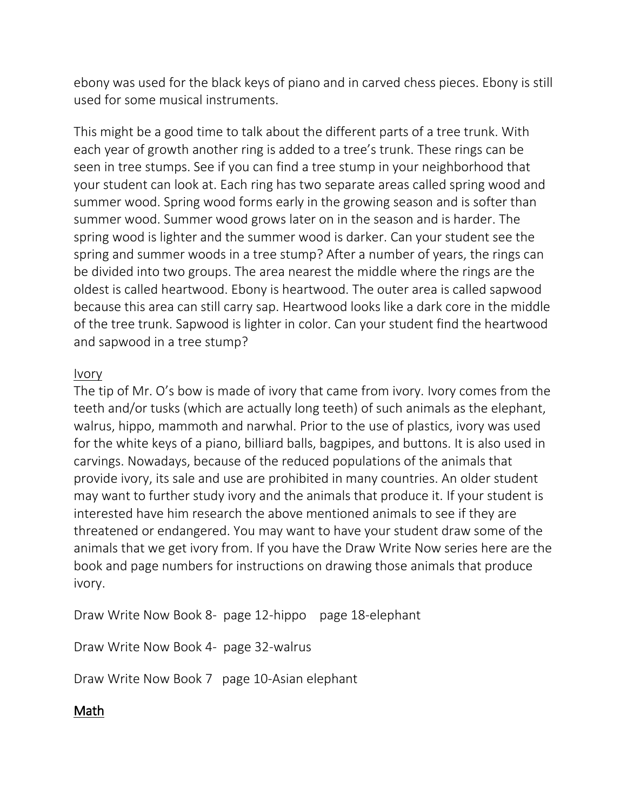ebony was used for the black keys of piano and in carved chess pieces. Ebony is still used for some musical instruments.

This might be a good time to talk about the different parts of a tree trunk. With each year of growth another ring is added to a tree's trunk. These rings can be seen in tree stumps. See if you can find a tree stump in your neighborhood that your student can look at. Each ring has two separate areas called spring wood and summer wood. Spring wood forms early in the growing season and is softer than summer wood. Summer wood grows later on in the season and is harder. The spring wood is lighter and the summer wood is darker. Can your student see the spring and summer woods in a tree stump? After a number of years, the rings can be divided into two groups. The area nearest the middle where the rings are the oldest is called heartwood. Ebony is heartwood. The outer area is called sapwood because this area can still carry sap. Heartwood looks like a dark core in the middle of the tree trunk. Sapwood is lighter in color. Can your student find the heartwood and sapwood in a tree stump?

# Ivory

The tip of Mr. O's bow is made of ivory that came from ivory. Ivory comes from the teeth and/or tusks (which are actually long teeth) of such animals as the elephant, walrus, hippo, mammoth and narwhal. Prior to the use of plastics, ivory was used for the white keys of a piano, billiard balls, bagpipes, and buttons. It is also used in carvings. Nowadays, because of the reduced populations of the animals that provide ivory, its sale and use are prohibited in many countries. An older student may want to further study ivory and the animals that produce it. If your student is interested have him research the above mentioned animals to see if they are threatened or endangered. You may want to have your student draw some of the animals that we get ivory from. If you have the Draw Write Now series here are the book and page numbers for instructions on drawing those animals that produce ivory.

Draw Write Now Book 8- page 12-hippo page 18-elephant

Draw Write Now Book 4- page 32-walrus

Draw Write Now Book 7 page 10-Asian elephant

# Math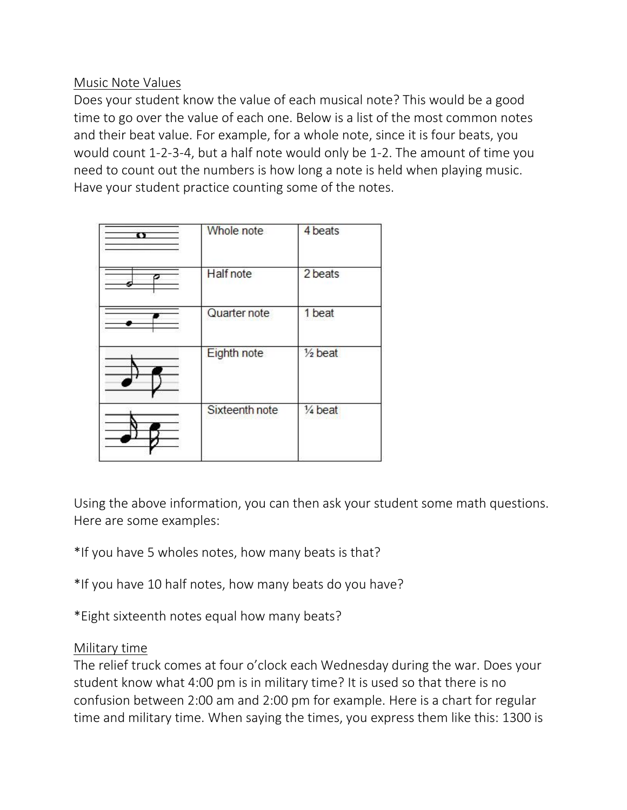# Music Note Values

Does your student know the value of each musical note? This would be a good time to go over the value of each one. Below is a list of the most common notes and their beat value. For example, for a whole note, since it is four beats, you would count 1-2-3-4, but a half note would only be 1-2. The amount of time you need to count out the numbers is how long a note is held when playing music. Have your student practice counting some of the notes.

| π | Whole note       | 4 beats            |
|---|------------------|--------------------|
| σ | <b>Half</b> note | 2 beats            |
|   | Quarter note     | 1 beat             |
|   | Eighth note      | $\frac{1}{2}$ beat |
|   | Sixteenth note   | $\frac{1}{4}$ beat |

Using the above information, you can then ask your student some math questions. Here are some examples:

\*If you have 5 wholes notes, how many beats is that?

\*If you have 10 half notes, how many beats do you have?

\*Eight sixteenth notes equal how many beats?

#### Military time

The relief truck comes at four o'clock each Wednesday during the war. Does your student know what 4:00 pm is in military time? It is used so that there is no confusion between 2:00 am and 2:00 pm for example. Here is a chart for regular time and military time. When saying the times, you express them like this: 1300 is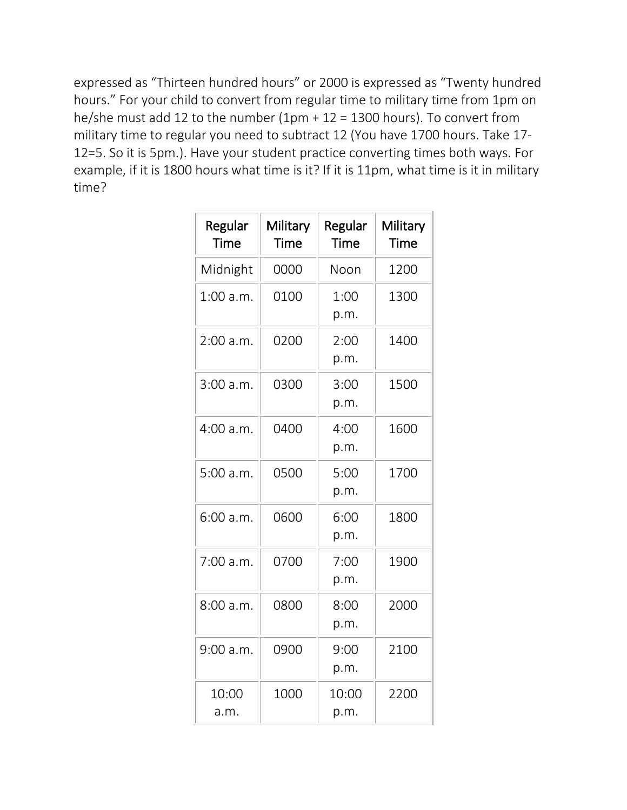expressed as "Thirteen hundred hours" or 2000 is expressed as "Twenty hundred hours." For your child to convert from regular time to military time from 1pm on he/she must add 12 to the number  $(1pm + 12 = 1300$  hours). To convert from military time to regular you need to subtract 12 (You have 1700 hours. Take 17- 12=5. So it is 5pm.). Have your student practice converting times both ways. For example, if it is 1800 hours what time is it? If it is 11pm, what time is it in military time?

| Regular<br>Time | Military<br><b>Time</b> | Regular<br><b>Time</b> | Military<br><b>Time</b> |
|-----------------|-------------------------|------------------------|-------------------------|
| Midnight        | 0000                    | Noon                   | 1200                    |
| $1:00$ a.m.     | 0100                    | 1:00<br>p.m.           | 1300                    |
| 2:00 a.m.       | 0200                    | 2:00<br>p.m.           | 1400                    |
| 3:00 a.m.       | 0300                    | 3:00<br>p.m.           | 1500                    |
| 4:00 a.m.       | 0400                    | 4:00<br>p.m.           | 1600                    |
| 5:00 a.m.       | 0500                    | 5:00<br>p.m.           | 1700                    |
| 6:00 a.m.       | 0600                    | 6:00<br>p.m.           | 1800                    |
| 7:00 a.m.       | 0700                    | 7:00<br>p.m.           | 1900                    |
| 8:00a.m.        | 0800                    | 8:00<br>p.m.           | 2000                    |
| 9:00 a.m.       | 0900                    | 9:00<br>p.m.           | 2100                    |
| 10:00<br>a.m.   | 1000                    | 10:00<br>p.m.          | 2200                    |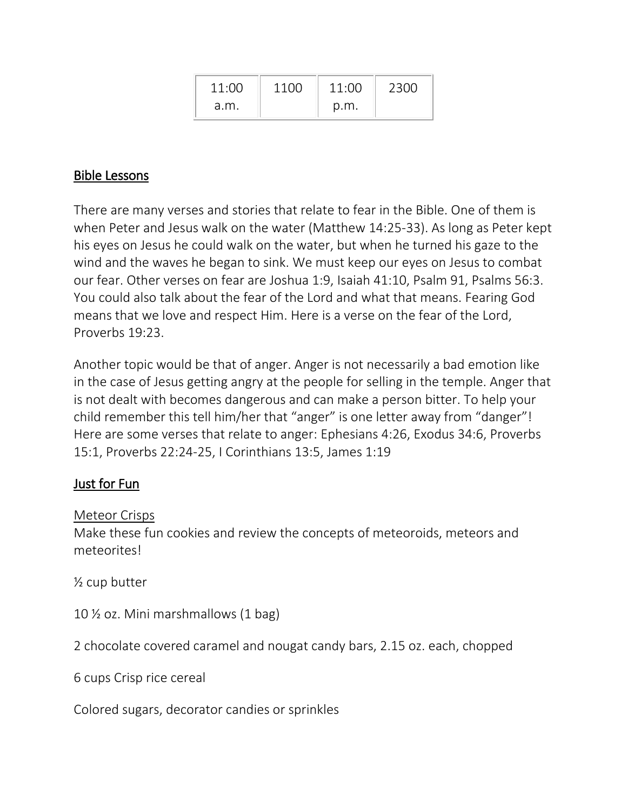| 11:00 | 1100 | 11:00 | 2300 |
|-------|------|-------|------|
| a.m.  |      | p.m.  |      |

# Bible Lessons

There are many verses and stories that relate to fear in the Bible. One of them is when Peter and Jesus walk on the water (Matthew 14:25-33). As long as Peter kept his eyes on Jesus he could walk on the water, but when he turned his gaze to the wind and the waves he began to sink. We must keep our eyes on Jesus to combat our fear. Other verses on fear are Joshua 1:9, Isaiah 41:10, Psalm 91, Psalms 56:3. You could also talk about the fear of the Lord and what that means. Fearing God means that we love and respect Him. Here is a verse on the fear of the Lord, Proverbs 19:23.

Another topic would be that of anger. Anger is not necessarily a bad emotion like in the case of Jesus getting angry at the people for selling in the temple. Anger that is not dealt with becomes dangerous and can make a person bitter. To help your child remember this tell him/her that "anger" is one letter away from "danger"! Here are some verses that relate to anger: Ephesians 4:26, Exodus 34:6, Proverbs 15:1, Proverbs 22:24-25, I Corinthians 13:5, James 1:19

# Just for Fun

#### Meteor Crisps

Make these fun cookies and review the concepts of meteoroids, meteors and meteorites!

½ cup butter

10 ½ oz. Mini marshmallows (1 bag)

2 chocolate covered caramel and nougat candy bars, 2.15 oz. each, chopped

6 cups Crisp rice cereal

Colored sugars, decorator candies or sprinkles